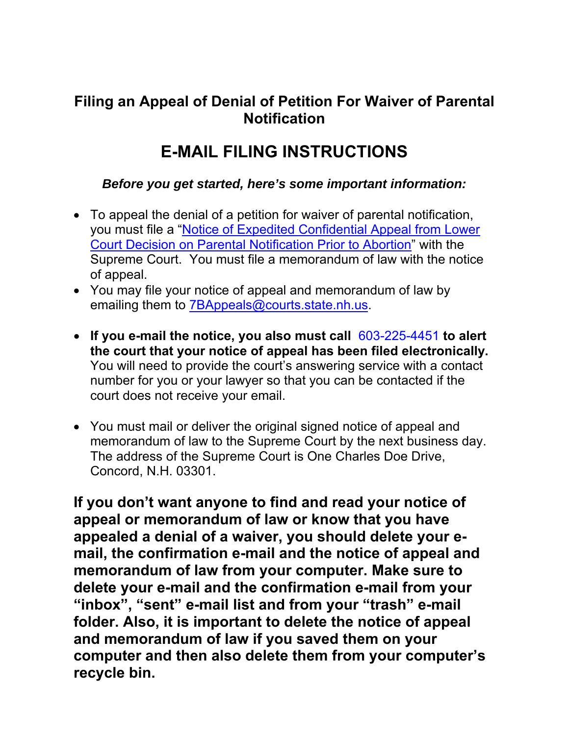## **Filing an Appeal of Denial of Petition For Waiver of Parental Notification**

## **E-MAIL FILING INSTRUCTIONS**

## *Before you get started, here's some important information:*

- To appeal the denial of a petition for waiver of parental notification, you must file a ["Notice of Expedited Confidential Appeal from Lower](http://www.courts.state.nh.us/forms/nhjb-2746-sup.pdf)  [Court Decision on Parental Notification Prior to Abortion"](http://www.courts.state.nh.us/forms/nhjb-2746-sup.pdf) with the Supreme Court. You must file a memorandum of law with the notice of appeal.
- You may file your notice of appeal and memorandum of law by emailing them to **[7BAppeals@courts.state.nh.us](mailto:7BAppeals@courts.state.nh.us).**
- **If you e-mail the notice, you also must call** 603-225-4451 **to alert the court that your notice of appeal has been filed electronically.** You will need to provide the court's answering service with a contact number for you or your lawyer so that you can be contacted if the court does not receive your email.
- You must mail or deliver the original signed notice of appeal and memorandum of law to the Supreme Court by the next business day. The address of the Supreme Court is One Charles Doe Drive, Concord, N.H. 03301.

**If you don't want anyone to find and read your notice of appeal or memorandum of law or know that you have appealed a denial of a waiver, you should delete your email, the confirmation e-mail and the notice of appeal and memorandum of law from your computer. Make sure to delete your e-mail and the confirmation e-mail from your "inbox", "sent" e-mail list and from your "trash" e-mail folder. Also, it is important to delete the notice of appeal and memorandum of law if you saved them on your computer and then also delete them from your computer's recycle bin.**